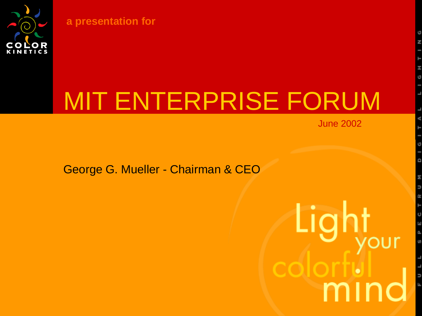

**a presentation for**

# MIT ENTERPRISE FORUM

June 2002

George G. Mueller - Chairman & CEO

Light '⊌II mir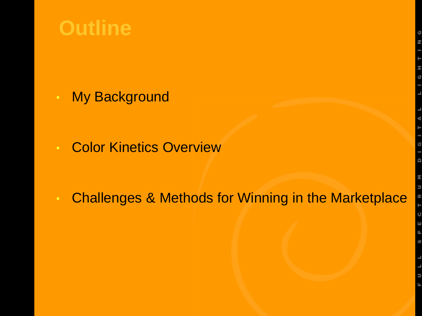#### **Outline**

**My Background** 

**Color Kinetics Overview** 

• Challenges & Methods for Winning in the Marketplace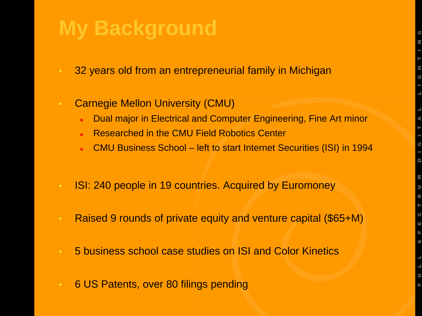## **My Background**

- 32 years old from an entrepreneurial family in Michigan
- Carnegie Mellon University (CMU)
	- Dual major in Electrical and Computer Engineering, Fine Art minor
	- Researched in the CMU Field Robotics Center
	- CMU Business School left to start Internet Securities (ISI) in 1994
- ISI: 240 people in 19 countries. Acquired by Euromoney
- Raised 9 rounds of private equity and venture capital (\$65+M)
- 5 business school case studies on ISI and Color Kinetics
- 6 US Patents, over 80 filings pending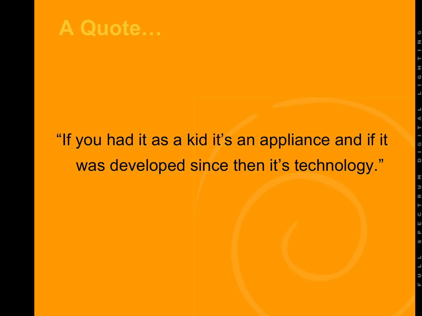

#### "If you had it as a kid it's an appliance and if it was developed since then it's technology."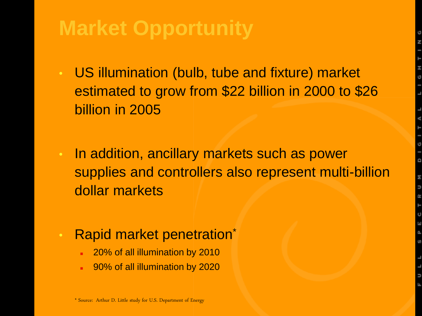## **Market Opportunity**

- US illumination (bulb, tube and fixture) market estimated to grow from \$22 billion in 2000 to \$26 billion in 2005
- In addition, ancillary markets such as power supplies and controllers also represent multi-billion dollar markets

#### • Rapid market penetration<sup>\*</sup>

- 20% of all illumination by 2010
- 90% of all illumination by 2020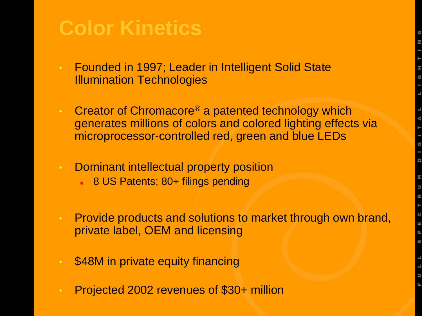#### **Color Kinetics**

- Founded in 1997; Leader in Intelligent Solid State Illumination Technologies
- Creator of Chromacore® a patented technology which generates millions of colors and colored lighting effects via microprocessor-controlled red, green and blue LEDs
- Dominant intellectual property position
	- 8 US Patents; 80+ filings pending
- Provide products and solutions to market through own brand, private label, OEM and licensing
- \$48M in private equity financing
- Projected 2002 revenues of \$30+ million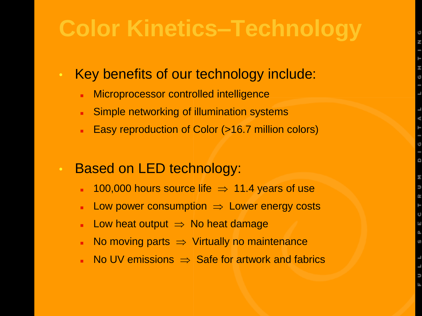# **Color Kinetics–Technology**

- Key benefits of our technology include:
	- Microprocessor controlled intelligence
	- **Simple networking of illumination systems**
	- Easy reproduction of Color (>16.7 million colors)
- Based on LED technology:
	- 100,000 hours source life  $\Rightarrow$  11.4 years of use
	- **Low power consumption**  $\Rightarrow$  **Lower energy costs**
	- **Low heat output**  $\Rightarrow$  **No heat damage**
	- No moving parts  $\Rightarrow$  Virtually no maintenance
	- No UV emissions  $\Rightarrow$  Safe for artwork and fabrics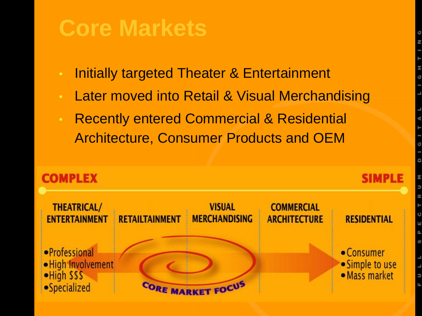## **Core Markets**

- Initially targeted Theater & Entertainment
- Later moved into Retail & Visual Merchandising
- Recently entered Commercial & Residential Architecture, Consumer Products and OEM

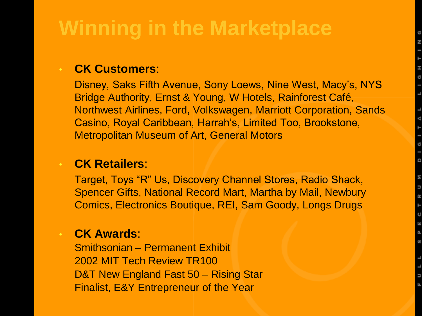## **Winning in the Marketplace**

#### • **CK Customers**:

Disney, Saks Fifth Avenue, Sony Loews, Nine West, Macy's, NYS Bridge Authority, Ernst & Young, W Hotels, Rainforest Café, Northwest Airlines, Ford, Volkswagen, Marriott Corporation, Sands Casino, Royal Caribbean, Harrah's, Limited Too, Brookstone, Metropolitan Museum of Art, General Motors

#### • **CK Retailers**:

Target, Toys "R" Us, Discovery Channel Stores, Radio Shack, Spencer Gifts, National Record Mart, Martha by Mail, Newbury Comics, Electronics Boutique, REI, Sam Goody, Longs Drugs

#### • **CK Awards**:

Smithsonian – Permanent Exhibit 2002 MIT Tech Review TR100 D&T New England Fast 50 – Rising Star Finalist, E&Y Entrepreneur of the Year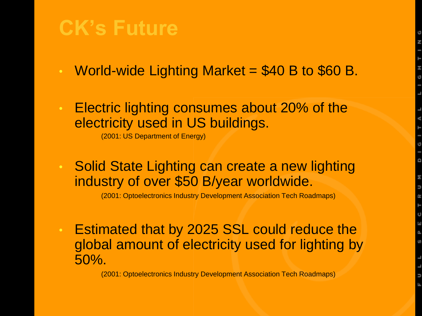#### **CK's Future**

- World-wide Lighting Market  $= $40 B$  to \$60 B.
- Electric lighting consumes about 20% of the electricity used in US buildings.

(2001: US Department of Energy)

• Solid State Lighting can create a new lighting industry of over \$50 B/year worldwide.

(2001: Optoelectronics Industry Development Association Tech Roadmaps)

• Estimated that by 2025 SSL could reduce the global amount of electricity used for lighting by 50%.

(2001: Optoelectronics Industry Development Association Tech Roadmaps)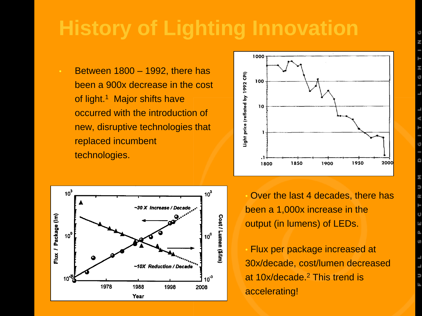## **History of Lighting Innovation**

• Between 1800 – 1992, there has been a 900x decrease in the cost of light.<sup>1</sup> Major shifts have occurred with the introduction of new, disruptive technologies that replaced incumbent technologies.





• Over the last 4 decades, there has been a 1,000x increase in the output (in lumens) of LEDs.

• Flux per package increased at 30x/decade, cost/lumen decreased at 10x/decade.<sup>2</sup> This trend is accelerating!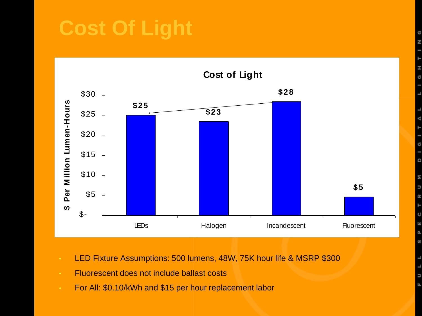## **Cost Of Light**



- LED Fixture Assumptions: 500 lumens, 48W, 75K hour life & MSRP \$300
- **Fluorescent does not include ballast costs**
- For All: \$0.10/kWh and \$15 per hour replacement labor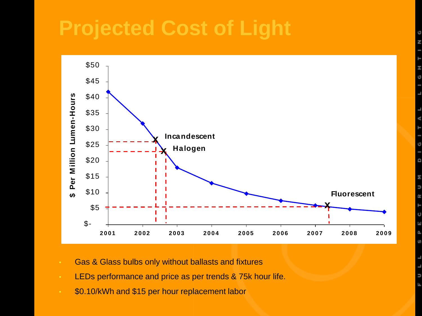#### **Projected Cost of Light**



- Gas & Glass bulbs only without ballasts and fixtures
- LEDs performance and price as per trends & 75k hour life.
- \$0.10/kWh and \$15 per hour replacement labor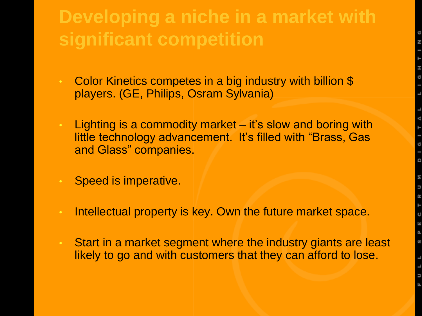#### **Developing a niche in a market with significant competition**

- Color Kinetics competes in a big industry with billion \$ players. (GE, Philips, Osram Sylvania)
- Lighting is a commodity market it's slow and boring with little technology advancement. It's filled with "Brass, Gas and Glass" companies.
- Speed is imperative.
- Intellectual property is key. Own the future market space.
- Start in a market segment where the industry giants are least likely to go and with customers that they can afford to lose.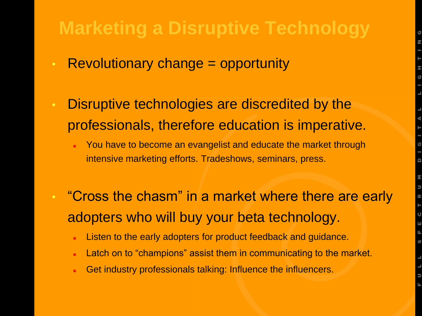#### **Marketing a Disruptive Technology**

- Revolutionary change = opportunity
- Disruptive technologies are discredited by the professionals, therefore education is imperative.
	- You have to become an evangelist and educate the market through intensive marketing efforts. Tradeshows, seminars, press.
- "Cross the chasm" in a market where there are early adopters who will buy your beta technology.
	- Listen to the early adopters for product feedback and guidance.
	- Latch on to "champions" assist them in communicating to the market.
	- Get industry professionals talking: Influence the influencers.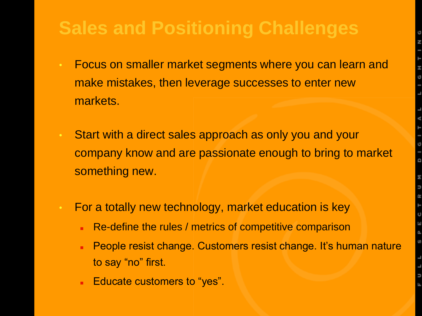#### **Sales and Positioning Challenges**

- Focus on smaller market segments where you can learn and make mistakes, then leverage successes to enter new markets.
- Start with a direct sales approach as only you and your company know and are passionate enough to bring to market something new.
- For a totally new technology, market education is key
	- Re-define the rules / metrics of competitive comparison
	- People resist change. Customers resist change. It's human nature to say "no" first.
	- Educate customers to "yes".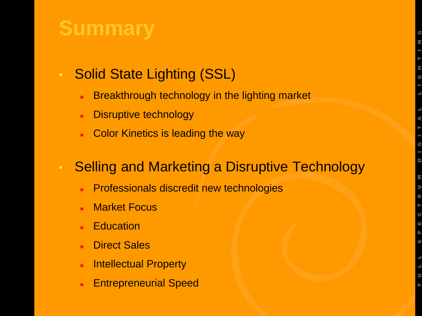## **Summary**

- Solid State Lighting (SSL)
	- **Breakthrough technology in the lighting market**
	- **Disruptive technology**
	- Color Kinetics is leading the way

#### • Selling and Marketing a Disruptive Technology

- **Professionals discredit new technologies**
- **Market Focus**
- **Education**
- Direct Sales
- **Intellectual Property**
- Entrepreneurial Speed